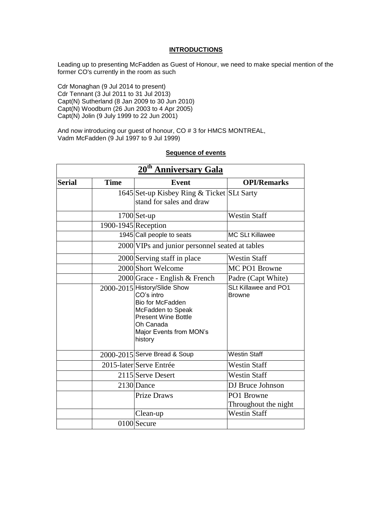#### **INTRODUCTIONS**

Leading up to presenting McFadden as Guest of Honour, we need to make special mention of the former CO's currently in the room as such

Cdr Monaghan (9 Jul 2014 to present) Cdr Tennant (3 Jul 2011 to 31 Jul 2013) Capt(N) Sutherland (8 Jan 2009 to 30 Jun 2010) Capt(N) Woodburn (26 Jun 2003 to 4 Apr 2005) Capt(N) Jolin (9 July 1999 to 22 Jun 2001)

And now introducing our guest of honour, CO # 3 for HMCS MONTREAL, Vadm McFadden (9 Jul 1997 to 9 Jul 1999)

#### **Sequence of events**

| 20 <sup>th</sup> Anniversary Gala |                     |                                                                                                                                                                      |                                       |
|-----------------------------------|---------------------|----------------------------------------------------------------------------------------------------------------------------------------------------------------------|---------------------------------------|
| <b>Serial</b>                     | <b>Time</b>         | <b>Event</b>                                                                                                                                                         | <b>OPI/Remarks</b>                    |
|                                   |                     | 1645 Set-up Kisbey Ring & Ticket SLt Sarty<br>stand for sales and draw                                                                                               |                                       |
|                                   |                     | $1700$ Set-up                                                                                                                                                        | <b>Westin Staff</b>                   |
|                                   | 1900-1945 Reception |                                                                                                                                                                      |                                       |
|                                   |                     | 1945 Call people to seats                                                                                                                                            | <b>MC SLt Killawee</b>                |
|                                   |                     | 2000 VIPs and junior personnel seated at tables                                                                                                                      |                                       |
|                                   |                     | 2000 Serving staff in place                                                                                                                                          | <b>Westin Staff</b>                   |
|                                   |                     | 2000 Short Welcome                                                                                                                                                   | MC PO1 Browne                         |
|                                   |                     | 2000 Grace - English & French                                                                                                                                        | Padre (Capt White)                    |
|                                   |                     | 2000-2015 History/Slide Show<br>CO's intro<br>Bio for McFadden<br>McFadden to Speak<br><b>Present Wine Bottle</b><br>Oh Canada<br>Major Events from MON's<br>history | SLt Killawee and PO1<br><b>Browne</b> |
|                                   |                     | 2000-2015 Serve Bread & Soup                                                                                                                                         | <b>Westin Staff</b>                   |
|                                   |                     | 2015-later Serve Entrée                                                                                                                                              | <b>Westin Staff</b>                   |
|                                   |                     | 2115 Serve Desert                                                                                                                                                    | <b>Westin Staff</b>                   |
|                                   |                     | 2130 Dance                                                                                                                                                           | DJ Bruce Johnson                      |
|                                   |                     | <b>Prize Draws</b>                                                                                                                                                   | PO1 Browne<br>Throughout the night    |
|                                   |                     | Clean-up                                                                                                                                                             | <b>Westin Staff</b>                   |
|                                   |                     | 0100 Secure                                                                                                                                                          |                                       |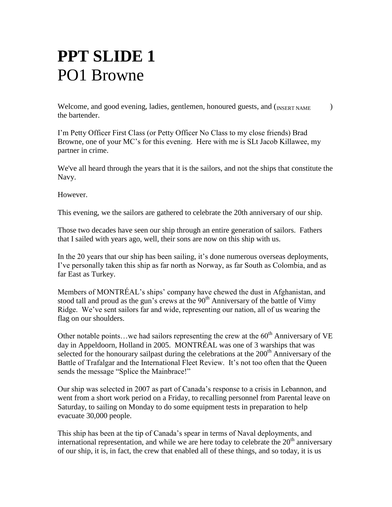# **PPT SLIDE 1**  PO1 Browne

Welcome, and good evening, ladies, gentlemen, honoured guests, and  $(n_{\text{NSERT NAME}})$ the bartender.

I'm Petty Officer First Class (or Petty Officer No Class to my close friends) Brad Browne, one of your MC's for this evening. Here with me is SLt Jacob Killawee, my partner in crime.

We've all heard through the years that it is the sailors, and not the ships that constitute the Navy.

However.

This evening, we the sailors are gathered to celebrate the 20th anniversary of our ship.

Those two decades have seen our ship through an entire generation of sailors. Fathers that I sailed with years ago, well, their sons are now on this ship with us.

In the 20 years that our ship has been sailing, it's done numerous overseas deployments, I've personally taken this ship as far north as Norway, as far South as Colombia, and as far East as Turkey.

Members of MONTRÉAL's ships' company have chewed the dust in Afghanistan, and stood tall and proud as the gun's crews at the  $90<sup>th</sup>$  Anniversary of the battle of Vimy Ridge. We've sent sailors far and wide, representing our nation, all of us wearing the flag on our shoulders.

Other notable points...we had sailors representing the crew at the  $60<sup>th</sup>$  Anniversary of VE day in Appeldoorn, Holland in 2005. MONTRÉAL was one of 3 warships that was selected for the honourary sailpast during the celebrations at the  $200<sup>th</sup>$  Anniversary of the Battle of Trafalgar and the International Fleet Review. It's not too often that the Queen sends the message "Splice the Mainbrace!"

Our ship was selected in 2007 as part of Canada's response to a crisis in Lebannon, and went from a short work period on a Friday, to recalling personnel from Parental leave on Saturday, to sailing on Monday to do some equipment tests in preparation to help evacuate 30,000 people.

This ship has been at the tip of Canada's spear in terms of Naval deployments, and international representation, and while we are here today to celebrate the  $20<sup>th</sup>$  anniversary of our ship, it is, in fact, the crew that enabled all of these things, and so today, it is us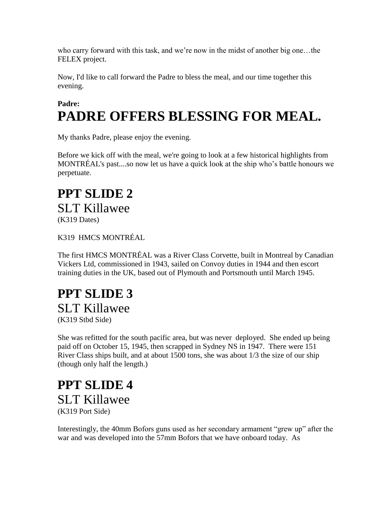who carry forward with this task, and we're now in the midst of another big one…the FELEX project.

Now, I'd like to call forward the Padre to bless the meal, and our time together this evening.

### **Padre: PADRE OFFERS BLESSING FOR MEAL.**

My thanks Padre, please enjoy the evening.

Before we kick off with the meal, we're going to look at a few historical highlights from MONTRÉAL's past....so now let us have a quick look at the ship who's battle honours we perpetuate.

#### **PPT SLIDE 2**  SLT Killawee (K319 Dates)

#### K319 HMCS MONTRÉAL

The first HMCS MONTRÉAL was a River Class Corvette, built in Montreal by Canadian Vickers Ltd, commissioned in 1943, sailed on Convoy duties in 1944 and then escort training duties in the UK, based out of Plymouth and Portsmouth until March 1945.

#### **PPT SLIDE 3**  SLT Killawee (K319 Stbd Side)

She was refitted for the south pacific area, but was never deployed. She ended up being paid off on October 15, 1945, then scrapped in Sydney NS in 1947. There were 151 River Class ships built, and at about 1500 tons, she was about 1/3 the size of our ship (though only half the length.)

#### **PPT SLIDE 4**  SLT Killawee (K319 Port Side)

Interestingly, the 40mm Bofors guns used as her secondary armament "grew up" after the war and was developed into the 57mm Bofors that we have onboard today. As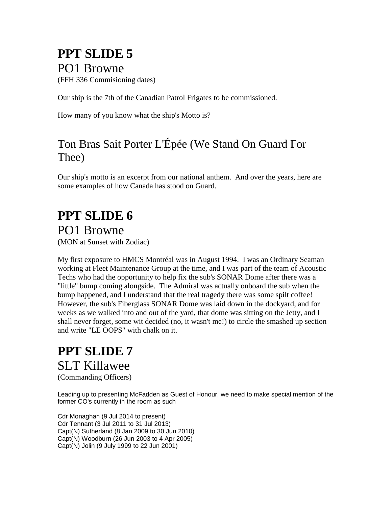### **PPT SLIDE 5**  PO1 Browne

(FFH 336 Commisioning dates)

Our ship is the 7th of the Canadian Patrol Frigates to be commissioned.

How many of you know what the ship's Motto is?

#### Ton Bras Sait Porter L'Épée (We Stand On Guard For Thee)

Our ship's motto is an excerpt from our national anthem. And over the years, here are some examples of how Canada has stood on Guard.

# **PPT SLIDE 6**

PO1 Browne

(MON at Sunset with Zodiac)

My first exposure to HMCS Montréal was in August 1994. I was an Ordinary Seaman working at Fleet Maintenance Group at the time, and I was part of the team of Acoustic Techs who had the opportunity to help fix the sub's SONAR Dome after there was a "little" bump coming alongside. The Admiral was actually onboard the sub when the bump happened, and I understand that the real tragedy there was some spilt coffee! However, the sub's Fiberglass SONAR Dome was laid down in the dockyard, and for weeks as we walked into and out of the yard, that dome was sitting on the Jetty, and I shall never forget, some wit decided (no, it wasn't me!) to circle the smashed up section and write "LE OOPS" with chalk on it.

## **PPT SLIDE 7** SLT Killawee

(Commanding Officers)

Leading up to presenting McFadden as Guest of Honour, we need to make special mention of the former CO's currently in the room as such

Cdr Monaghan (9 Jul 2014 to present) Cdr Tennant (3 Jul 2011 to 31 Jul 2013) Capt(N) Sutherland (8 Jan 2009 to 30 Jun 2010) Capt(N) Woodburn (26 Jun 2003 to 4 Apr 2005) Capt(N) Jolin (9 July 1999 to 22 Jun 2001)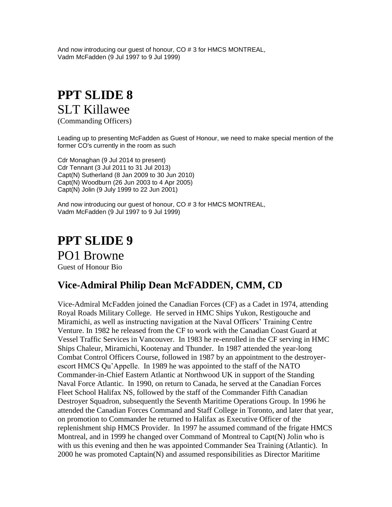And now introducing our guest of honour, CO # 3 for HMCS MONTREAL, Vadm McFadden (9 Jul 1997 to 9 Jul 1999)

### **PPT SLIDE 8** SLT Killawee

(Commanding Officers)

Leading up to presenting McFadden as Guest of Honour, we need to make special mention of the former CO's currently in the room as such

Cdr Monaghan (9 Jul 2014 to present) Cdr Tennant (3 Jul 2011 to 31 Jul 2013) Capt(N) Sutherland (8 Jan 2009 to 30 Jun 2010) Capt(N) Woodburn (26 Jun 2003 to 4 Apr 2005) Capt(N) Jolin (9 July 1999 to 22 Jun 2001)

And now introducing our guest of honour, CO # 3 for HMCS MONTREAL, Vadm McFadden (9 Jul 1997 to 9 Jul 1999)

**PPT SLIDE 9** PO1 Browne Guest of Honour Bio

#### **Vice-Admiral Philip Dean McFADDEN, CMM, CD**

Vice-Admiral McFadden joined the Canadian Forces (CF) as a Cadet in 1974, attending Royal Roads Military College. He served in HMC Ships Yukon, Restigouche and Miramichi, as well as instructing navigation at the Naval Officers' Training Centre Venture. In 1982 he released from the CF to work with the Canadian Coast Guard at Vessel Traffic Services in Vancouver. In 1983 he re-enrolled in the CF serving in HMC Ships Chaleur, Miramichi, Kootenay and Thunder. In 1987 attended the year-long Combat Control Officers Course, followed in 1987 by an appointment to the destroyerescort HMCS Qu'Appelle. In 1989 he was appointed to the staff of the NATO Commander-in-Chief Eastern Atlantic at Northwood UK in support of the Standing Naval Force Atlantic. In 1990, on return to Canada, he served at the Canadian Forces Fleet School Halifax NS, followed by the staff of the Commander Fifth Canadian Destroyer Squadron, subsequently the Seventh Maritime Operations Group. In 1996 he attended the Canadian Forces Command and Staff College in Toronto, and later that year, on promotion to Commander he returned to Halifax as Executive Officer of the replenishment ship HMCS Provider. In 1997 he assumed command of the frigate HMCS Montreal, and in 1999 he changed over Command of Montreal to Capt(N) Jolin who is with us this evening and then he was appointed Commander Sea Training (Atlantic). In 2000 he was promoted Captain(N) and assumed responsibilities as Director Maritime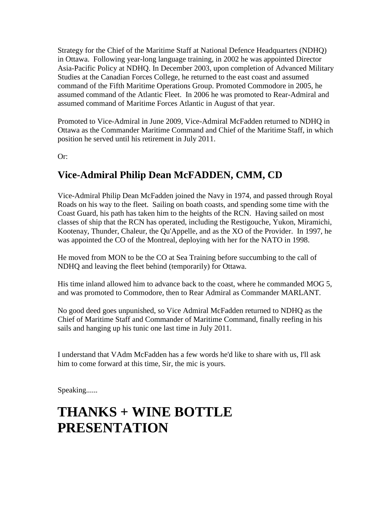Strategy for the Chief of the Maritime Staff at National Defence Headquarters (NDHQ) in Ottawa. Following year-long language training, in 2002 he was appointed Director Asia-Pacific Policy at NDHQ. In December 2003, upon completion of Advanced Military Studies at the Canadian Forces College, he returned to the east coast and assumed command of the Fifth Maritime Operations Group. Promoted Commodore in 2005, he assumed command of the Atlantic Fleet. In 2006 he was promoted to Rear-Admiral and assumed command of Maritime Forces Atlantic in August of that year.

Promoted to Vice-Admiral in June 2009, Vice-Admiral McFadden returned to NDHQ in Ottawa as the Commander Maritime Command and Chief of the Maritime Staff, in which position he served until his retirement in July 2011.

Or:

#### **Vice-Admiral Philip Dean McFADDEN, CMM, CD**

Vice-Admiral Philip Dean McFadden joined the Navy in 1974, and passed through Royal Roads on his way to the fleet. Sailing on boath coasts, and spending some time with the Coast Guard, his path has taken him to the heights of the RCN. Having sailed on most classes of ship that the RCN has operated, including the Restigouche, Yukon, Miramichi, Kootenay, Thunder, Chaleur, the Qu'Appelle, and as the XO of the Provider. In 1997, he was appointed the CO of the Montreal, deploying with her for the NATO in 1998.

He moved from MON to be the CO at Sea Training before succumbing to the call of NDHQ and leaving the fleet behind (temporarily) for Ottawa.

His time inland allowed him to advance back to the coast, where he commanded MOG 5, and was promoted to Commodore, then to Rear Admiral as Commander MARLANT.

No good deed goes unpunished, so Vice Admiral McFadden returned to NDHQ as the Chief of Maritime Staff and Commander of Maritime Command, finally reefing in his sails and hanging up his tunic one last time in July 2011.

I understand that VAdm McFadden has a few words he'd like to share with us, I'll ask him to come forward at this time, Sir, the mic is yours.

Speaking......

### **THANKS + WINE BOTTLE PRESENTATION**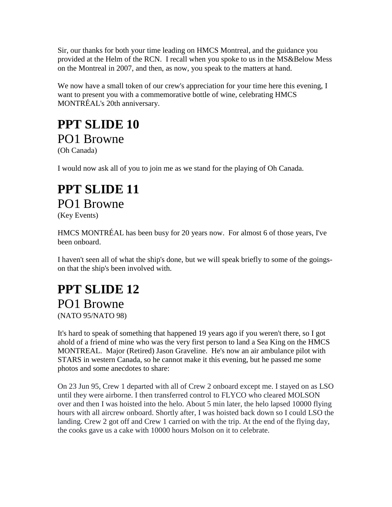Sir, our thanks for both your time leading on HMCS Montreal, and the guidance you provided at the Helm of the RCN. I recall when you spoke to us in the MS&Below Mess on the Montreal in 2007, and then, as now, you speak to the matters at hand.

We now have a small token of our crew's appreciation for your time here this evening, I want to present you with a commemorative bottle of wine, celebrating HMCS MONTRÉAL's 20th anniversary.

#### **PPT SLIDE 10** PO1 Browne (Oh Canada)

I would now ask all of you to join me as we stand for the playing of Oh Canada.

#### **PPT SLIDE 11** PO1 Browne (Key Events)

HMCS MONTRÉAL has been busy for 20 years now. For almost 6 of those years, I've been onboard.

I haven't seen all of what the ship's done, but we will speak briefly to some of the goingson that the ship's been involved with.

### **PPT SLIDE 12** PO1 Browne

(NATO 95/NATO 98)

It's hard to speak of something that happened 19 years ago if you weren't there, so I got ahold of a friend of mine who was the very first person to land a Sea King on the HMCS MONTREAL. Major (Retired) Jason Graveline. He's now an air ambulance pilot with STARS in western Canada, so he cannot make it this evening, but he passed me some photos and some anecdotes to share:

On 23 Jun 95, Crew 1 departed with all of Crew 2 onboard except me. I stayed on as LSO until they were airborne. I then transferred control to FLYCO who cleared MOLSON over and then I was hoisted into the helo. About 5 min later, the helo lapsed 10000 flying hours with all aircrew onboard. Shortly after, I was hoisted back down so I could LSO the landing. Crew 2 got off and Crew 1 carried on with the trip. At the end of the flying day, the cooks gave us a cake with 10000 hours Molson on it to celebrate.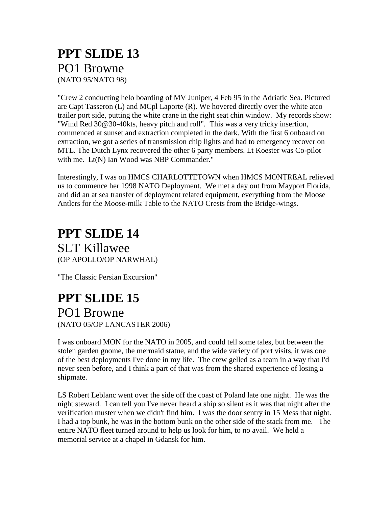#### **PPT SLIDE 13** PO1 Browne (NATO 95/NATO 98)

"Crew 2 conducting helo boarding of MV Juniper, 4 Feb 95 in the Adriatic Sea. Pictured are Capt Tasseron (L) and MCpl Laporte (R). We hovered directly over the white atco trailer port side, putting the white crane in the right seat chin window. My records show: "Wind Red 30@30-40kts, heavy pitch and roll". This was a very tricky insertion, commenced at sunset and extraction completed in the dark. With the first 6 onboard on extraction, we got a series of transmission chip lights and had to emergency recover on MTL. The Dutch Lynx recovered the other 6 party members. Lt Koester was Co-pilot with me. Lt(N) Ian Wood was NBP Commander."

Interestingly, I was on HMCS CHARLOTTETOWN when HMCS MONTREAL relieved us to commence her 1998 NATO Deployment. We met a day out from Mayport Florida, and did an at sea transfer of deployment related equipment, everything from the Moose Antlers for the Moose-milk Table to the NATO Crests from the Bridge-wings.

### **PPT SLIDE 14**

SLT Killawee (OP APOLLO/OP NARWHAL)

"The Classic Persian Excursion"

#### **PPT SLIDE 15** PO1 Browne (NATO 05/OP LANCASTER 2006)

I was onboard MON for the NATO in 2005, and could tell some tales, but between the stolen garden gnome, the mermaid statue, and the wide variety of port visits, it was one of the best deployments I've done in my life. The crew gelled as a team in a way that I'd never seen before, and I think a part of that was from the shared experience of losing a shipmate.

LS Robert Leblanc went over the side off the coast of Poland late one night. He was the night steward. I can tell you I've never heard a ship so silent as it was that night after the verification muster when we didn't find him. I was the door sentry in 15 Mess that night. I had a top bunk, he was in the bottom bunk on the other side of the stack from me. The entire NATO fleet turned around to help us look for him, to no avail. We held a memorial service at a chapel in Gdansk for him.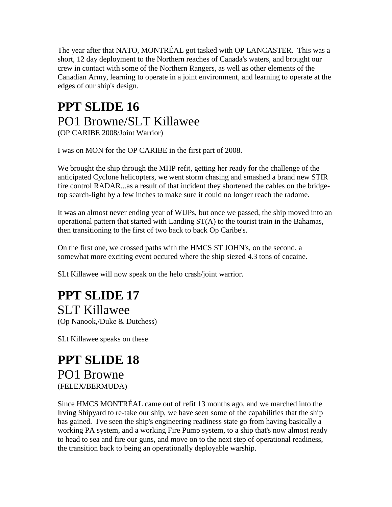The year after that NATO, MONTRÉAL got tasked with OP LANCASTER. This was a short, 12 day deployment to the Northern reaches of Canada's waters, and brought our crew in contact with some of the Northern Rangers, as well as other elements of the Canadian Army, learning to operate in a joint environment, and learning to operate at the edges of our ship's design.

#### **PPT SLIDE 16** PO1 Browne/SLT Killawee (OP CARIBE 2008/Joint Warrior)

I was on MON for the OP CARIBE in the first part of 2008.

We brought the ship through the MHP refit, getting her ready for the challenge of the anticipated Cyclone helicopters, we went storm chasing and smashed a brand new STIR fire control RADAR...as a result of that incident they shortened the cables on the bridgetop search-light by a few inches to make sure it could no longer reach the radome.

It was an almost never ending year of WUPs, but once we passed, the ship moved into an operational pattern that started with Landing ST(A) to the tourist train in the Bahamas, then transitioning to the first of two back to back Op Caribe's.

On the first one, we crossed paths with the HMCS ST JOHN's, on the second, a somewhat more exciting event occured where the ship siezed 4.3 tons of cocaine.

SLt Killawee will now speak on the helo crash/joint warrior.

#### **PPT SLIDE 17** SLT Killawee

(Op Nanook,/Duke & Dutchess)

SLt Killawee speaks on these

#### **PPT SLIDE 18** PO1 Browne (FELEX/BERMUDA)

Since HMCS MONTRÉAL came out of refit 13 months ago, and we marched into the Irving Shipyard to re-take our ship, we have seen some of the capabilities that the ship has gained. I've seen the ship's engineering readiness state go from having basically a working PA system, and a working Fire Pump system, to a ship that's now almost ready to head to sea and fire our guns, and move on to the next step of operational readiness, the transition back to being an operationally deployable warship.